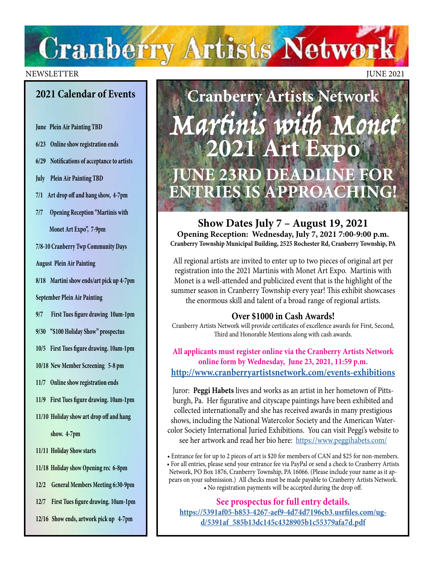# **Cranberry Artists Network**

#### NEWSLETTER JUNE 2021

### **2021 Calendar of Events**

**June Plein Air Painting TBD**

**6/23 Online show registration ends**

**6/29 Notifications of acceptance to artists**

**July Plein Air Painting TBD**

**7/1 Art drop off and hang show, 4-7pm**

**7/7 Opening Reception "Martinis with Monet Art Expo", 7-9pm** 

**7/8-10 Cranberry Twp Community Days**

**August Plein Air Painting**

**8/18 Martini show ends/art pick up 4-7pm**

**September Plein Air Painting**

**9/7 First Tues figure drawing 10am-1pm** 

**9/30 "\$100 Holiday Show" prospectus** 

**10/5 First Tues figure drawing. 10am-1pm** 

**10/18 New Member Screening 5-8 pm** 

**11/7 Online show registration ends**

**11/9 First Tues figure drawing. 10am-1pm** 

**11/10 Holiday show art drop off and hang** 

 **show. 4-7pm**

**11/11 Holiday Show starts**

**11/18 Holiday show Opening rec 6-8pm** 

**12/2 General Members Meeting 6:30-9pm**

**12/7 First Tues figure drawing. 10am-1pm** 

**12/16 Show ends, artwork pick up 4-7pm**

**Cranberry Artists Network** Martinis with Monet **2021 Art Expo JUNE 23RD DEADLINE FOR ENTRIES IS APPROACHI** 

**Show Dates July 7 – August 19, 2021 Opening Reception: Wednesday, July 7, 2021 7:00-9:00 p.m. Cranberry Township Municipal Building, 2525 Rochester Rd, Cranberry Township, PA**

All regional artists are invited to enter up to two pieces of original art per registration into the 2021 Martinis with Monet Art Expo. Martinis with Monet is a well-attended and publicized event that is the highlight of the summer season in Cranberry Township every year! This exhibit showcases the enormous skill and talent of a broad range of regional artists.

#### **Over \$1000 in Cash Awards!**

Cranberry Artists Network will provide certificates of excellence awards for First, Second, Third and Honorable Mentions along with cash awards.

**All applicants must register online via the Cranberry Artists Network online form by Wednesday, June 23, 2021, 11:59 p.m. <http://www.cranberryartistsnetwork.com/events-exhibitions>**

Juror: **Peggi Habets** lives and works as an artist in her hometown of Pittsburgh, Pa. Her figurative and cityscape paintings have been exhibited and collected internationally and she has received awards in many prestigious shows, including the National Watercolor Society and the American Watercolor Society International Juried Exhibitions. You can visit Peggi's website to see her artwork and read her bio here: <https://www.peggihabets.com/>

• Entrance fee for up to 2 pieces of art is \$20 for members of CAN and \$25 for non-members. • For all entries, please send your entrance fee via PayPal or send a check to Cranberry Artists Network, PO Box 1876, Cranberry Township, PA 16066. (Please include your name as it appears on your submission.) All checks must be made payable to Cranberry Artists Network. • No registration payments will be accepted during the drop off.

**See prospectus for full entry details. [https://5391af05-b853-4267-aef9-4d74d7196cb3.usrfiles.com/ug](https://5391af05-b853-4267-aef9-4d74d7196cb3.usrfiles.com/ugd/5391af_585b13dc145c4328905b1c55379afa7d.pdf)[d/5391af\\_585b13dc145c4328905b1c55379afa7d.pdf](https://5391af05-b853-4267-aef9-4d74d7196cb3.usrfiles.com/ugd/5391af_585b13dc145c4328905b1c55379afa7d.pdf)**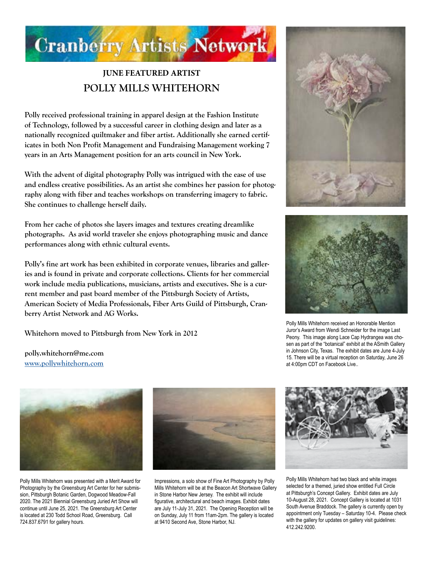

## **JUNE FEATURED ARTIST POLLY MILLS WHITEHORN**

**Polly received professional training in apparel design at the Fashion Institute of Technology, followed by a successful career in clothing design and later as a nationally recognized quiltmaker and fiber artist. Additionally she earned certificates in both Non Profit Management and Fundraising Management working 7 years in an Arts Management position for an arts council in New York.** 

**With the advent of digital photography Polly was intrigued with the ease of use and endless creative possibilities. As an artist she combines her passion for photography along with fiber and teaches workshops on transferring imagery to fabric. She continues to challenge herself daily.**

**From her cache of photos she layers images and textures creating dreamlike photographs. As avid world traveler she enjoys photographing music and dance performances along with ethnic cultural events.**

**Polly's fine art work has been exhibited in corporate venues, libraries and galleries and is found in private and corporate collections. Clients for her commercial work include media publications, musicians, artists and executives. She is a current member and past board member of the Pittsburgh Society of Artists, American Society of Media Professionals, Fiber Arts Guild of Pittsburgh, Cranberry Artist Network and AG Works.**

**Whitehorn moved to Pittsburgh from New York in 2012**



Polly Mills Whitehorn received an Honorable Mention Juror's Award from Wendi Schneider for the image Last Peony. This image along Lace Cap Hydrangea was chosen as part of the "botanical" exhibit at the ASmith Gallery in Johnson City, Texas. The exhibit dates are June 4-July 15. There will be a virtual reception on Saturday, June 26 at 4:00pm CDT on Facebook Live..



**polly.whitehorn@me.com [www.pollywhitehorn.com](http://www.pollywhitehorn.com)**

Polly Mills Whitehorn was presented with a Merit Award for Photography by the Greensburg Art Center for her submission, Pittsburgh Botanic Garden, Dogwood Meadow-Fall 2020. The 2021 Biennial Greensburg Juried Art Show will continue until June 25, 2021. The Greensburg Art Center is located at 230 Todd School Road, Greensburg. Call 724.837.6791 for gallery hours.



Impressions, a solo show of Fine Art Photography by Polly Mills Whitehorn will be at the Beacon Art Shortwave Gallery in Stone Harbor New Jersey. The exhibit will include figurative, architectural and beach images. Exhibit dates are July 11-July 31, 2021. The Opening Reception will be on Sunday, July 11 from 11am-2pm. The gallery is located at 9410 Second Ave, Stone Harbor, NJ.



Polly Mills Whitehorn had two black and white images selected for a themed, juried show entitled Full Circle at Pittsburgh's Concept Gallery. Exhibit dates are July 10-August 28, 2021. Concept Gallery is located at 1031 South Avenue Braddock. The gallery is currently open by appointment only Tuesday – Saturday 10-4. Please check with the gallery for updates on gallery visit guidelines: 412.242.9200.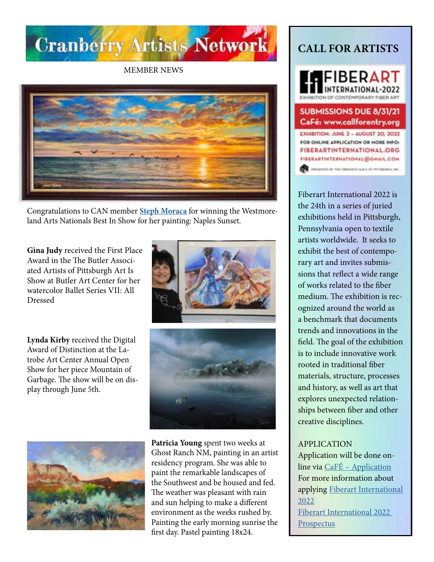

MEMBER NEWS



Congratulations to CAN member **[Steph Moraca](https://www.stephmoracafineart.com/)** for winning the Westmoreland Arts Nationals Best In Show for her painting: Naples Sunset.

**Gina Judy** received the First Place Award in the The Butler Associated Artists of Pittsburgh Art Is Show at Butler Art Center for her watercolor Ballet Series VII: All Dressed

**Lynda Kirby** received the Digital Award of Distinction at the Latrobe Art Center Annual Open Show for her piece Mountain of Garbage. The show will be on display through June 5th.







**Patricia Young** spent two weeks at Ghost Ranch NM, painting in an artist residency program. She was able to paint the remarkable landscapes of the Southwest and be housed and fed. The weather was pleasant with rain and sun helping to make a different environment as the weeks rushed by. Painting the early morning sunrise the first day. Pastel painting 18x24.

## **CALL FOR ARTISTS**

**AFIBERART** INTERNATIONAL-2022 **HIBITION OF CONTEMPORARY FIBER A** 

#### **SUBMISSIONS DUE 8/31/21** CaFé: www.callforentry.org

EXHIBITION: JUNE 3 - AUGUST 20, 2022 FOR ONLINE APPLICATION OR MORE INFO: FIBERARTINTERNATIONAL.ORG FIBERARTINTERNATIONAL@GMAIL.COM INEMATED BY THE FIRERAFTS GULD OF INTERLINDING MC.

Fiberart International 2022 is the 24th in a series of juried exhibitions held in Pittsburgh, Pennsylvania open to textile artists worldwide. It seeks to exhibit the best of contemporary art and invites submissions that reflect a wide range of works related to the fiber medium. The exhibition is recognized around the world as a benchmark that documents trends and innovations in the field. The goal of the exhibition is to include innovative work rooted in traditional fiber materials, structure, processes and history, as well as art that explores unexpected relationships between fiber and other creative disciplines.

#### APPLICATION

Application will be done online via [CaFÉ – Application](https://artist.callforentry.org/festivals_unique_info.php?ID=8381) For more information about applying [Fiberart International](https://fiberartinternational.org/fi-2022-exhibition/)  [2022](https://fiberartinternational.org/fi-2022-exhibition/) [Fiberart International 2022](https://fiberartinternational.org/wp-content/uploads/2021/01/Prospectus-Fiberart-International-2022-Final.pdf)  [Prospectus](https://fiberartinternational.org/wp-content/uploads/2021/01/Prospectus-Fiberart-International-2022-Final.pdf)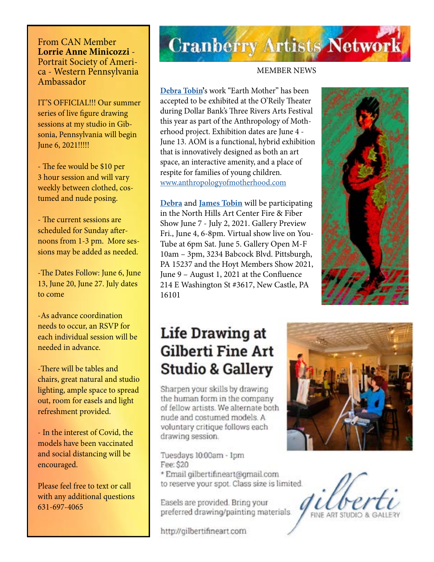From CAN Member **Lorrie Anne Minicozzi** - Portrait Society of America - Western Pennsylvania Ambassador

IT'S OFFICIAL!!! Our summer series of live figure drawing sessions at my studio in Gibsonia, Pennsylvania will begin June 6, 2021!!!!!

- The fee would be \$10 per 3 hour session and will vary weekly between clothed, costumed and nude posing.

- The current sessions are scheduled for Sunday afternoons from 1-3 pm. More sessions may be added as needed.

-The Dates Follow: June 6, June 13, June 20, June 27. July dates to come

-As advance coordination needs to occur, an RSVP for each individual session will be needed in advance.

-There will be tables and chairs, great natural and studio lighting, ample space to spread out, room for easels and light refreshment provided.

- In the interest of Covid, the models have been vaccinated and social distancing will be encouraged.

Please feel free to text or call with any additional questions 631-697-4065

## **Cranberry Artists Network**

#### MEMBER NEWS

**[Debra Tobin'](http://debratobinart.com)**s work "Earth Mother" has been accepted to be exhibited at the O'Reily Theater during Dollar Bank's Three Rivers Arts Festival this year as part of the Anthropology of Motherhood project. Exhibition dates are June 4 - June 13. AOM is a functional, hybrid exhibition that is innovatively designed as both an art space, an interactive amenity, and a place of respite for families of young children. [www.anthropologyofmotherhood.com](http://www.anthropologyofmotherhood.com)

**[Debra](http://debratobinart.com)** and **[James Tobin](http://jamestobinart.com)** will be participating in the North Hills Art Center Fire & Fiber Show June 7 - July 2, 2021. Gallery Preview Fri., June 4, 6-8pm. Virtual show live on You-Tube at 6pm Sat. June 5. Gallery Open M-F 10am – 3pm, 3234 Babcock Blvd. Pittsburgh, PA 15237 and the Hoyt Members Show 2021, June 9 – August 1, 2021 at the Confluence 214 E Washington St #3617, New Castle, PA 16101

## **Life Drawing at Gilberti Fine Art Studio & Gallery**

Sharpen your skills by drawing the human form in the company of fellow artists. We alternate both nude and costumed models. A voluntary critique follows each drawing session.

Tuesdays 10:00am - 1pm Fee: \$20

\* Email gilbertifineart@gmail.com to reserve your spot. Class size is limited.

Easels are provided. Bring your preferred drawing/painting materials.

http://gilbertifineart.com



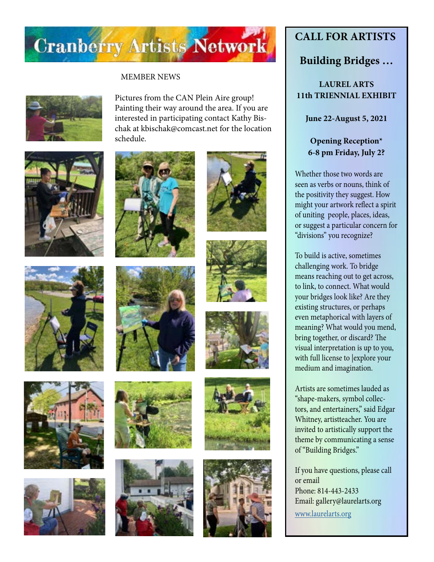

#### MEMBER NEWS



Pictures from the CAN Plein Aire group! Painting their way around the area. If you are interested in participating contact Kathy Bischak at kbischak@comcast.net for the location schedule.

















## **CALL FOR ARTISTS**

### **Building Bridges …**

#### **LAUREL ARTS 11th TRIENNIAL EXHIBIT**

**June 22-August 5, 2021**

#### **Opening Reception\* 6-8 pm Friday, July 2?**

Whether those two words are seen as verbs or nouns, think of the positivity they suggest. How might your artwork reflect a spirit of uniting people, places, ideas, or suggest a particular concern for "divisions" you recognize?

To build is active, sometimes challenging work. To bridge means reaching out to get across, to link, to connect. What would your bridges look like? Are they existing structures, or perhaps even metaphorical with layers of meaning? What would you mend, bring together, or discard? The visual interpretation is up to you, with full license to |explore your medium and imagination.

Artists are sometimes lauded as "shape-makers, symbol collectors, and entertainers," said Edgar Whitney, artistteacher. You are invited to artistically support the theme by communicating a sense of "Building Bridges."

If you have questions, please call or email Phone: 814-443-2433 Email: gallery@laurelarts.org [www.laurelarts.org](http://www.laurelarts.org)